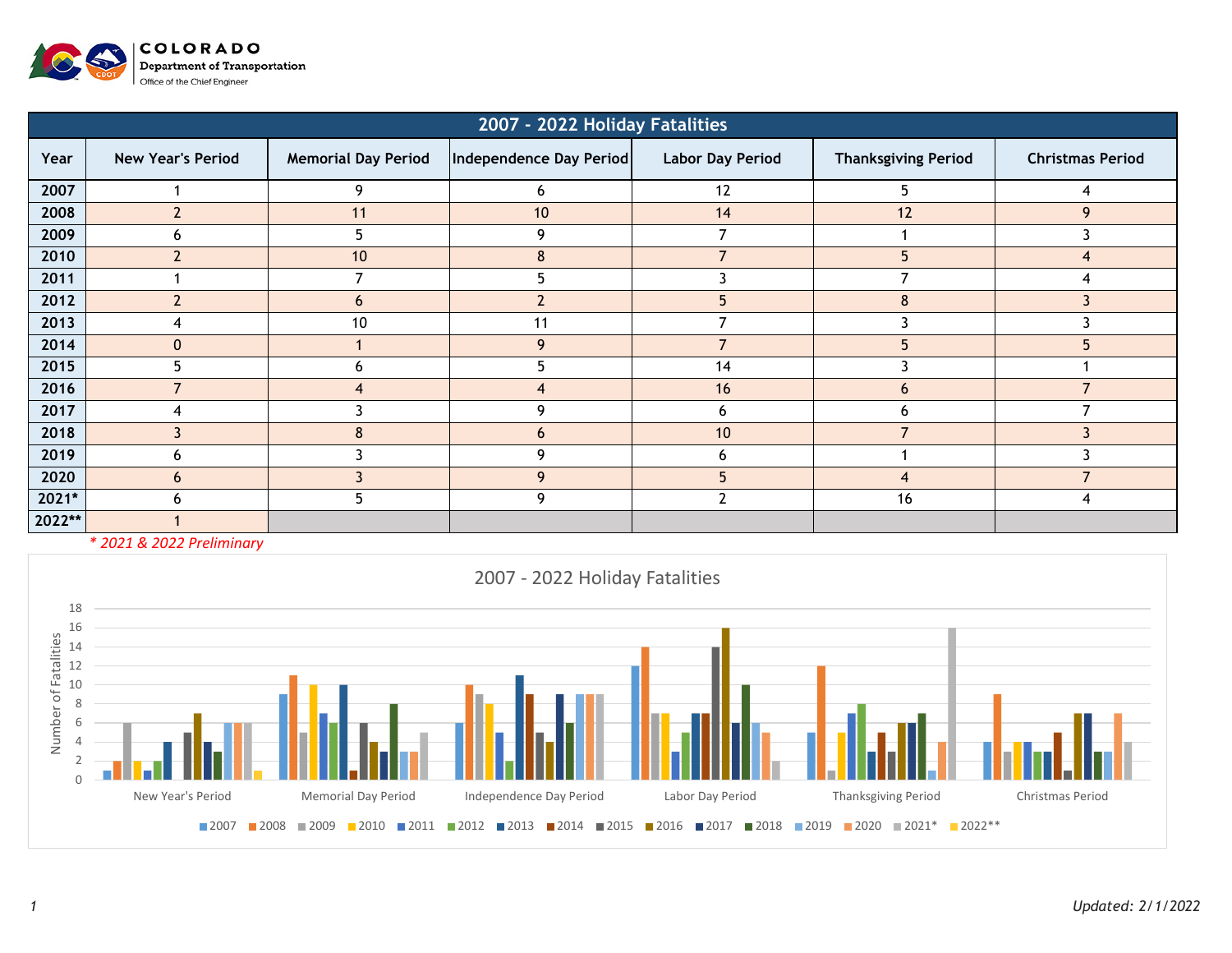

| 2007 - 2022 Holiday Fatalities |                          |                            |                         |                         |                            |                         |  |  |  |  |  |  |
|--------------------------------|--------------------------|----------------------------|-------------------------|-------------------------|----------------------------|-------------------------|--|--|--|--|--|--|
| Year                           | <b>New Year's Period</b> | <b>Memorial Day Period</b> | Independence Day Period | <b>Labor Day Period</b> | <b>Thanksgiving Period</b> | <b>Christmas Period</b> |  |  |  |  |  |  |
| 2007                           |                          | 9                          | 6                       | 12                      | 5.                         | 4                       |  |  |  |  |  |  |
| 2008                           | $\overline{2}$           | 11                         | 10                      | 14                      | 12                         | 9                       |  |  |  |  |  |  |
| 2009                           | <sub>6</sub>             | 5                          | 9                       | 7                       |                            | 3                       |  |  |  |  |  |  |
| 2010                           | $\overline{2}$           | 10                         | 8                       | $\overline{7}$          | 5                          | 4                       |  |  |  |  |  |  |
| 2011                           |                          |                            | ר                       |                         |                            |                         |  |  |  |  |  |  |
| 2012                           | $\overline{\mathbf{c}}$  | 6                          |                         | 5                       | 8                          |                         |  |  |  |  |  |  |
| 2013                           |                          | 10                         | 11                      |                         |                            |                         |  |  |  |  |  |  |
| 2014                           | $\mathbf{0}$             |                            | 9                       |                         |                            | 5                       |  |  |  |  |  |  |
| 2015                           | 5                        | 6                          |                         | 14                      |                            |                         |  |  |  |  |  |  |
| 2016                           |                          | $\boldsymbol{4}$           | ◢                       | 16                      | 6                          |                         |  |  |  |  |  |  |
| 2017                           | Δ                        |                            | 9                       | 6                       | h                          | ⇁                       |  |  |  |  |  |  |
| 2018                           | 3                        | 8                          | 6                       | 10                      | ⇁                          | ्र                      |  |  |  |  |  |  |
| 2019                           | 6                        |                            | q                       | 6                       |                            |                         |  |  |  |  |  |  |
| 2020                           | 6                        |                            | 9                       | 5                       | 4                          | ⇁                       |  |  |  |  |  |  |
| 2021*                          | h                        | 5                          | 9                       | າ                       | 16                         | 4                       |  |  |  |  |  |  |
| 2022**                         |                          |                            |                         |                         |                            |                         |  |  |  |  |  |  |

*\* 2021 & 2022 Preliminary*

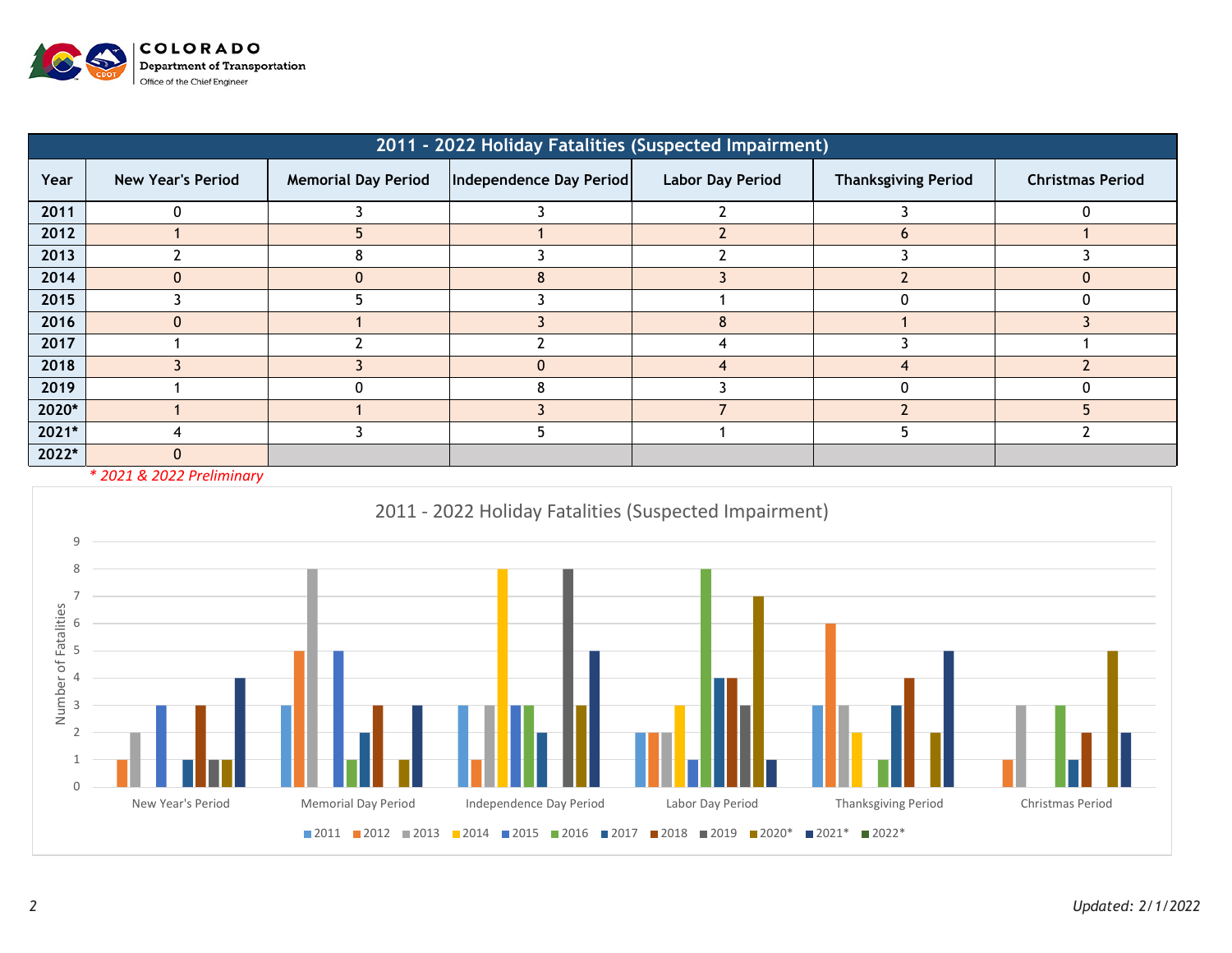

| 2011 - 2022 Holiday Fatalities (Suspected Impairment) |                          |                            |                         |                         |                            |                         |  |  |  |  |  |  |
|-------------------------------------------------------|--------------------------|----------------------------|-------------------------|-------------------------|----------------------------|-------------------------|--|--|--|--|--|--|
| Year                                                  | <b>New Year's Period</b> | <b>Memorial Day Period</b> | Independence Day Period | <b>Labor Day Period</b> | <b>Thanksgiving Period</b> | <b>Christmas Period</b> |  |  |  |  |  |  |
| 2011                                                  |                          |                            |                         |                         |                            |                         |  |  |  |  |  |  |
| 2012                                                  |                          |                            |                         |                         |                            |                         |  |  |  |  |  |  |
| 2013                                                  |                          |                            |                         |                         |                            |                         |  |  |  |  |  |  |
| 2014                                                  | $\Omega$                 |                            |                         |                         |                            | $\Omega$                |  |  |  |  |  |  |
| 2015                                                  |                          |                            |                         |                         |                            |                         |  |  |  |  |  |  |
| 2016                                                  | $\Omega$                 |                            |                         | 8                       |                            |                         |  |  |  |  |  |  |
| 2017                                                  |                          |                            |                         |                         |                            |                         |  |  |  |  |  |  |
| 2018                                                  |                          |                            |                         | 4                       |                            |                         |  |  |  |  |  |  |
| 2019                                                  |                          |                            |                         |                         |                            |                         |  |  |  |  |  |  |
| 2020*                                                 |                          |                            |                         |                         |                            |                         |  |  |  |  |  |  |
| 2021*                                                 |                          |                            |                         |                         |                            |                         |  |  |  |  |  |  |
| 2022*                                                 | $\mathbf{0}$             |                            |                         |                         |                            |                         |  |  |  |  |  |  |

*\* 2021 & 2022 Preliminary*